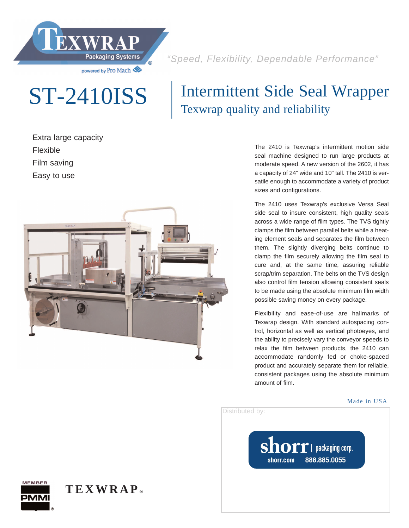

"Speed, Flexibility, Dependable Performance"

# ST-2410ISS

# Intermittent Side Seal Wrapper Texwrap quality and reliability

Extra large capacity Flexible Film saving

Easy to use



The 2410 is Texwrap's intermittent motion side seal machine designed to run large products at moderate speed. A new version of the 2602, it has a capacity of 24" wide and 10" tall. The 2410 is versatile enough to accommodate a variety of product sizes and configurations.

The 2410 uses Texwrap's exclusive Versa Seal side seal to insure consistent, high quality seals across a wide range of film types. The TVS tightly clamps the film between parallel belts while a heating element seals and separates the film between them. The slightly diverging belts continue to clamp the film securely allowing the film seal to cure and, at the same time, assuring reliable scrap/trim separation. The belts on the TVS design also control film tension allowing consistent seals to be made using the absolute minimum film width possible saving money on every package.

Flexibility and ease-of-use are hallmarks of Texwrap design. With standard autospacing control, horizontal as well as vertical photoeyes, and the ability to precisely vary the conveyor speeds to relax the film between products, the 2410 can accommodate randomly fed or choke-spaced product and accurately separate them for reliable, consistent packages using the absolute minimum amount of film.

#### Made in USA